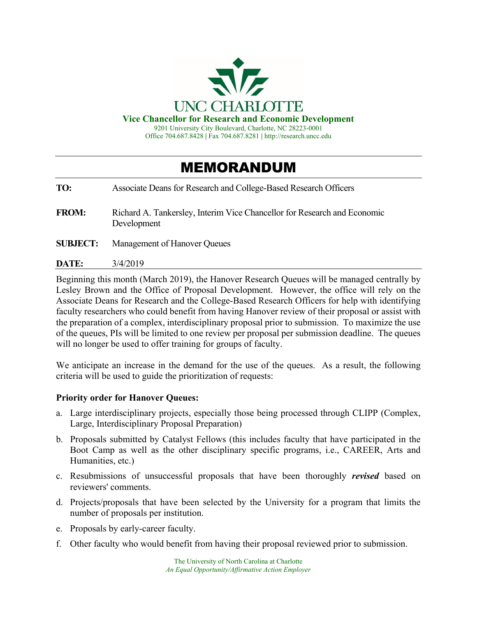

**Vice Chancellor for Research and Economic Development** 

9201 University City Boulevard, Charlotte, NC 28223-0001 Office 704.687.8428 **|** Fax 704.687.8281 **|** http://research.uncc.edu

## MEMORANDUM

**TO:** Associate Deans for Research and College-Based Research Officers **FROM:** Richard A. Tankersley, Interim Vice Chancellor for Research and Economic Development **SUBJECT:** Management of Hanover Queues **DATE:** 3/4/2019

Beginning this month (March 2019), the Hanover Research Queues will be managed centrally by Lesley Brown and the Office of Proposal Development. However, the office will rely on the Associate Deans for Research and the College-Based Research Officers for help with identifying faculty researchers who could benefit from having Hanover review of their proposal or assist with the preparation of a complex, interdisciplinary proposal prior to submission. To maximize the use of the queues, PIs will be limited to one review per proposal per submission deadline. The queues will no longer be used to offer training for groups of faculty.

We anticipate an increase in the demand for the use of the queues. As a result, the following criteria will be used to guide the prioritization of requests:

## **Priority order for Hanover Queues:**

- a. Large interdisciplinary projects, especially those being processed through CLIPP (Complex, Large, Interdisciplinary Proposal Preparation)
- b. Proposals submitted by Catalyst Fellows (this includes faculty that have participated in the Boot Camp as well as the other disciplinary specific programs, i.e., CAREER, Arts and Humanities, etc.)
- c. Resubmissions of unsuccessful proposals that have been thoroughly *revised* based on reviewers' comments.
- d. Projects/proposals that have been selected by the University for a program that limits the number of proposals per institution.
- e. Proposals by early-career faculty.
- f. Other faculty who would benefit from having their proposal reviewed prior to submission.